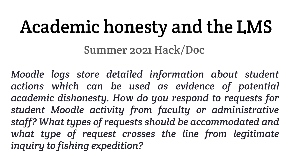# Academic honesty and the LMS

Summer 2021 Hack/Doc

*Moodle logs store detailed information about student actions which can be used as evidence of potential academic dishonesty. How do you respond to requests for student Moodle activity from faculty or administrative staff? What types of requests should be accommodated and what type of request crosses the line from legitimate inquiry to fishing expedition?*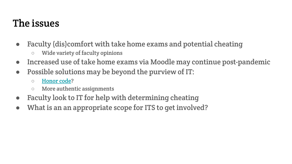#### The issues

- Faculty (dis)comfort with take home exams and potential cheating
	- Wide variety of faculty opinions
- Increased use of take home exams via Moodle may continue post-pandemic
- Possible solutions may be beyond the purview of IT:
	- [Honor code](https://www.insidehighered.com/news/2012/09/06/honor-code-may-not-be-enough-solve-academic-integrity-issues-harvard)?
	- More authentic assignments
- Faculty look to IT for help with determining cheating
- What is an an appropriate scope for ITS to get involved?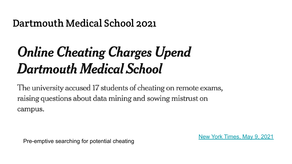#### Dartmouth Medical School 2021

## **Online Cheating Charges Upend Dartmouth Medical School**

The university accused 17 students of cheating on remote exams, raising questions about data mining and sowing mistrust on campus.

Pre-emptive searching for potential cheating

[New York Times, May 9, 2021](https://www.nytimes.com/2021/05/09/technology/dartmouth-geisel-medical-cheating.html)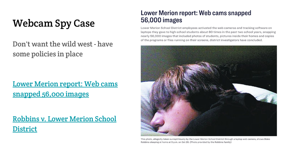### Webcam Spy Case

#### Don't want the wild west - have some policies in place

[Lower Merion report: Web cams](https://www.inquirer.com/philly/news/breaking/20100419_Lower_Merion_details_Web_cam_scope.html) [snapped 56,000 images](https://www.inquirer.com/philly/news/breaking/20100419_Lower_Merion_details_Web_cam_scope.html)

[Robbins v. Lower Merion School](https://en.wikipedia.org/wiki/Robbins_v._Lower_Merion_School_District) [District](https://en.wikipedia.org/wiki/Robbins_v._Lower_Merion_School_District)

#### Lower Merion report: Web cams snapped **56,000 images**

Lower Merion School District employees activated the web cameras and tracking software on laptops they gave to high school students about 80 times in the past two school years, snapping nearly 56,000 images that included photos of students, pictures inside their homes and copies of the programs or files running on their screens, district investigators have concluded.



This photo, allegedly taken surreptitiously by the Lower Merion School District through a laptop web camera, shows Blake Robbins sleeping at home at 5 p.m. on Oct 26. (Photo provided by the Robbins family)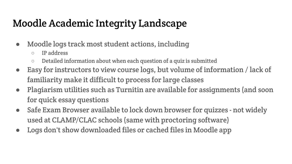### Moodle Academic Integrity Landscape

- Moodle logs track most student actions, including
	- IP address
	- Detailed information about when each question of a quiz is submitted
- Easy for instructors to view course logs, but volume of information / lack of familiarity make it difficult to process for large classes
- Plagiarism utilities such as Turnitin are available for assignments (and soon for quick essay questions
- Safe Exam Browser available to lock down browser for quizzes not widely used at CLAMP/CLAC schools (same with proctoring software)
- Logs don't show downloaded files or cached files in Moodle app